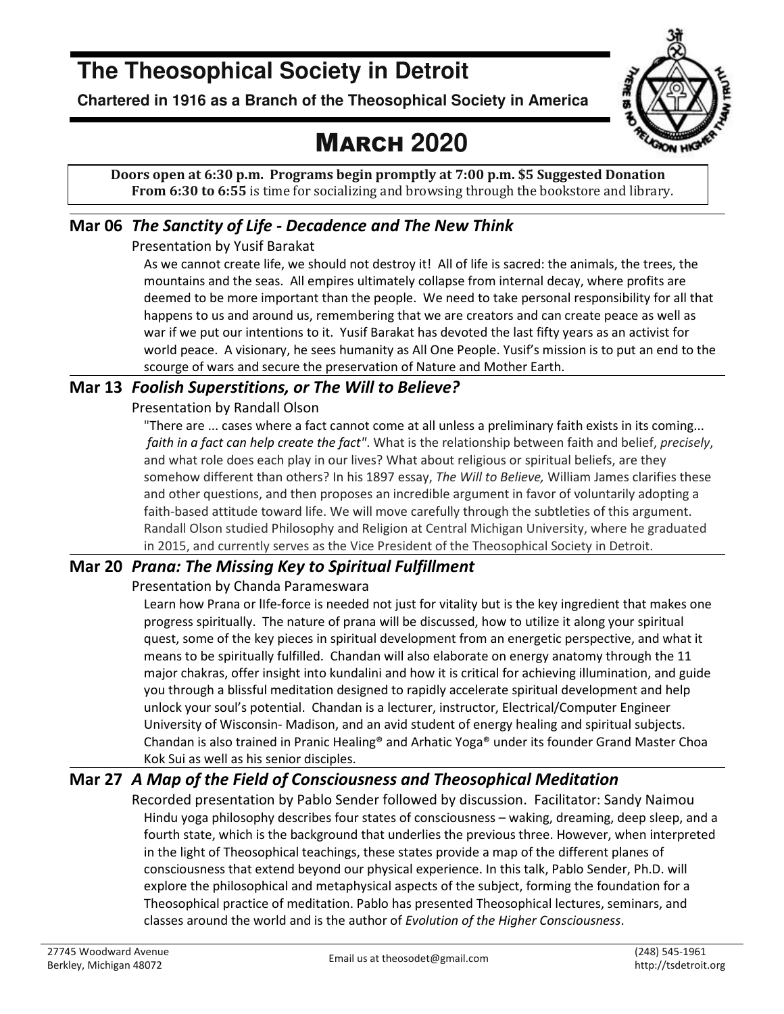# **The Theosophical Society in Detroit**

**Chartered in 1916 as a Branch of the Theosophical Society in America** 

# MARCH **2020**



**Doors open at 6:30 p.m. Programs begin promptly at 7:00 p.m. \$5 Suggested Donation From 6:30 to 6:55** is time for socializing and browsing through the bookstore and library.

#### **Mar 06** *The Sanctity of Life - Decadence and The New Think*

Presentation by Yusif Barakat

As we cannot create life, we should not destroy it! All of life is sacred: the animals, the trees, the mountains and the seas. All empires ultimately collapse from internal decay, where profits are deemed to be more important than the people. We need to take personal responsibility for all that happens to us and around us, remembering that we are creators and can create peace as well as war if we put our intentions to it. Yusif Barakat has devoted the last fifty years as an activist for world peace. A visionary, he sees humanity as All One People. Yusif's mission is to put an end to the scourge of wars and secure the preservation of Nature and Mother Earth.

#### **Mar 13** *Foolish Superstitions, or The Will to Believe?*

Presentation by Randall Olson

"There are ... cases where a fact cannot come at all unless a preliminary faith exists in its coming...  *faith in a fact can help create the fact"*. What is the relationship between faith and belief, *precisely*, and what role does each play in our lives? What about religious or spiritual beliefs, are they somehow different than others? In his 1897 essay, *The Will to Believe,* William James clarifies these and other questions, and then proposes an incredible argument in favor of voluntarily adopting a faith-based attitude toward life. We will move carefully through the subtleties of this argument. Randall Olson studied Philosophy and Religion at Central Michigan University, where he graduated in 2015, and currently serves as the Vice President of the Theosophical Society in Detroit.

#### **Mar 20** *Prana: The Missing Key to Spiritual Fulfillment*

Presentation by Chanda Parameswara

Learn how Prana or lIfe-force is needed not just for vitality but is the key ingredient that makes one progress spiritually. The nature of prana will be discussed, how to utilize it along your spiritual quest, some of the key pieces in spiritual development from an energetic perspective, and what it means to be spiritually fulfilled. Chandan will also elaborate on energy anatomy through the 11 major chakras, offer insight into kundalini and how it is critical for achieving illumination, and guide you through a blissful meditation designed to rapidly accelerate spiritual development and help unlock your soul's potential. Chandan is a lecturer, instructor, Electrical/Computer Engineer University of Wisconsin- Madison, and an avid student of energy healing and spiritual subjects. Chandan is also trained in Pranic Healing® and Arhatic Yoga® under its founder Grand Master Choa Kok Sui as well as his senior disciples.

#### **Mar 27** *A Map of the Field of Consciousness and Theosophical Meditation*

Recorded presentation by Pablo Sender followed by discussion. Facilitator: Sandy Naimou Hindu yoga philosophy describes four states of consciousness – waking, dreaming, deep sleep, and a fourth state, which is the background that underlies the previous three. However, when interpreted in the light of Theosophical teachings, these states provide a map of the different planes of consciousness that extend beyond our physical experience. In this talk, Pablo Sender, Ph.D. will explore the philosophical and metaphysical aspects of the subject, forming the foundation for a Theosophical practice of meditation. Pablo has presented Theosophical lectures, seminars, and classes around the world and is the author of *Evolution of the Higher Consciousness*.